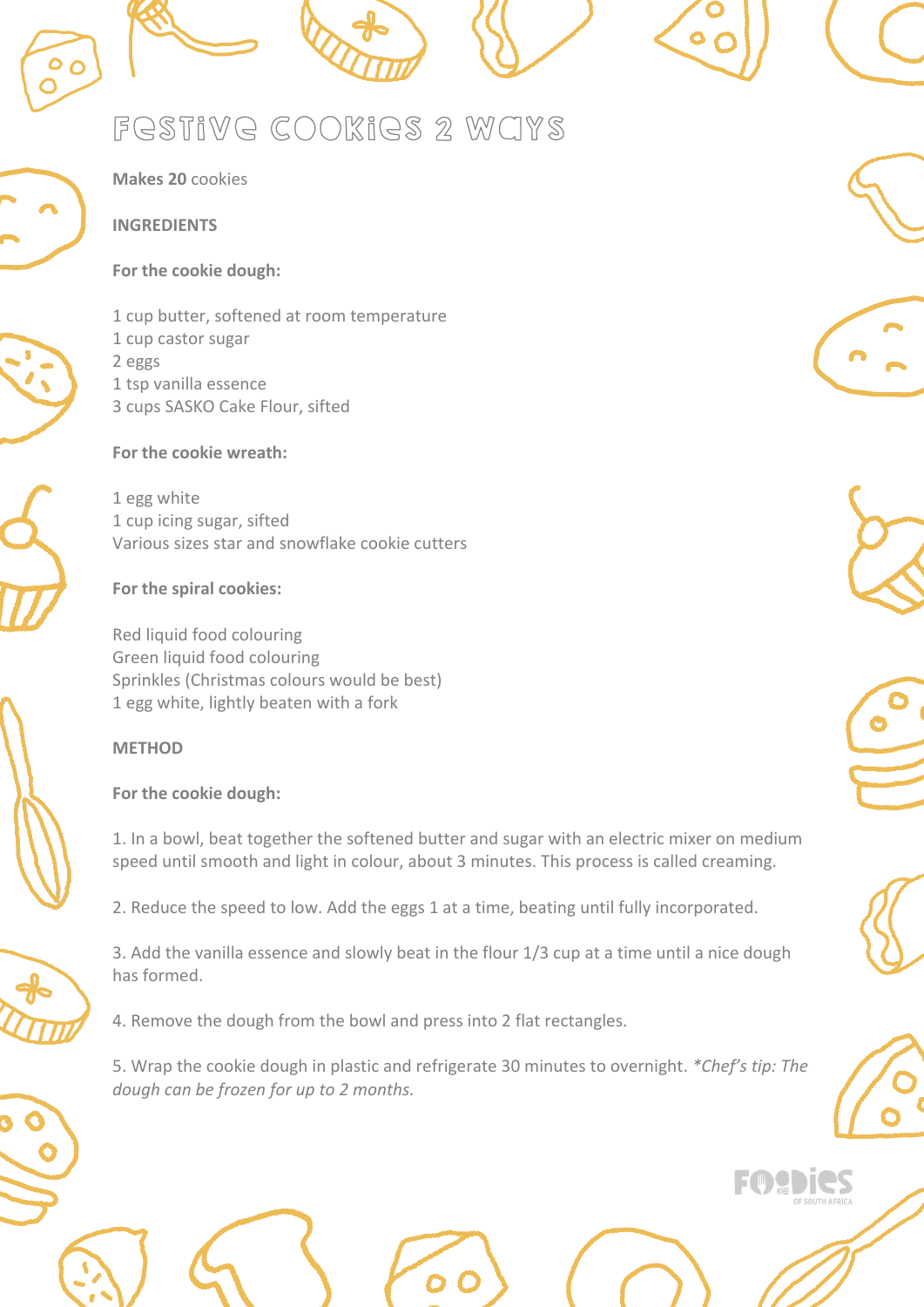# festive cookies 2 ways



**Makes 20** cookies

#### **INGREDIENTS**

#### **For the cookie dough:**







1 cup castor sugar 2 eggs 1 tsp vanilla essence 3 cups SASKO Cake Flour, sifted

1 cup butter, softened at room temperature

**For the cookie wreath:**

1 egg white 1 cup icing sugar, sifted Various sizes star and snowflake cookie cutters

### **For the spiral cookies:**

Red liquid food colouring Green liquid food colouring Sprinkles (Christmas colours would be best) 1 egg white, lightly beaten with a fork

## **METHOD For the cookie dough:**

1. In a bowl, beat together the softened butter and sugar with an electric mixer on medium speed until smooth and light in colour, about 3 minutes. This process is called creaming.

2. Reduce the speed to low. Add the eggs 1 at a time, beating until fully incorporated.

3. Add the vanilla essence and slowly beat in the flour 1/3 cup at a time until a nice dough has formed.

4. Remove the dough from the bowl and press into 2 flat rectangles.

5. Wrap the cookie dough in plastic and refrigerate 30 minutes to overnight. *\*Chef's tip: The dough can be frozen for up to 2 months.*











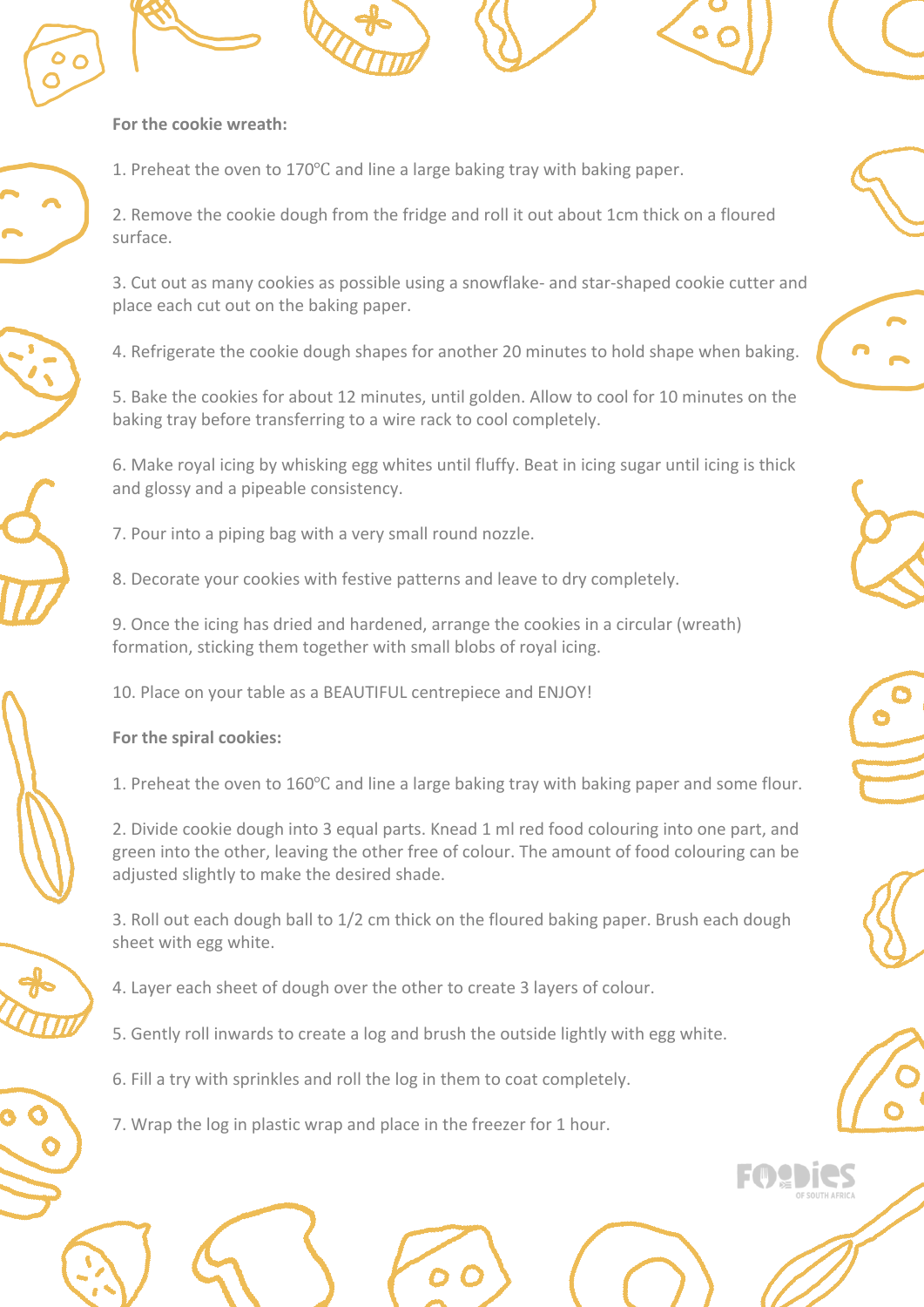







1. Preheat the oven to 170℃ and line a large baking tray with baking paper.

2. Remove the cookie dough from the fridge and roll it out about 1cm thick on a floured surface.

3. Cut out as many cookies as possible using a snowflake- and star-shaped cookie cutter and place each cut out on the baking paper.

4. Refrigerate the cookie dough shapes for another 20 minutes to hold shape when baking.

5. Bake the cookies for about 12 minutes, until golden. Allow to cool for 10 minutes on the baking tray before transferring to a wire rack to cool completely.

6. Make royal icing by whisking egg whites until fluffy. Beat in icing sugar until icing is thick and glossy and a pipeable consistency.

- 7. Pour into a piping bag with a very small round nozzle.
- 8. Decorate your cookies with festive patterns and leave to dry completely.

9. Once the icing has dried and hardened, arrange the cookies in a circular (wreath) formation, sticking them together with small blobs of royal icing.

10. Place on your table as a BEAUTIFUL centrepiece and ENJOY!



**For the spiral cookies:**

1. Preheat the oven to 160℃ and line a large baking tray with baking paper and some flour.

2. Divide cookie dough into 3 equal parts. Knead 1 ml red food colouring into one part, and green into the other, leaving the other free of colour. The amount of food colouring can be adjusted slightly to make the desired shade.

3. Roll out each dough ball to 1/2 cm thick on the floured baking paper. Brush each dough sheet with egg white.

- 4. Layer each sheet of dough over the other to create 3 layers of colour.
- 5. Gently roll inwards to create a log and brush the outside lightly with egg white.
- 6. Fill a try with sprinkles and roll the log in them to coat completely.
- 7. Wrap the log in plastic wrap and place in the freezer for 1 hour.